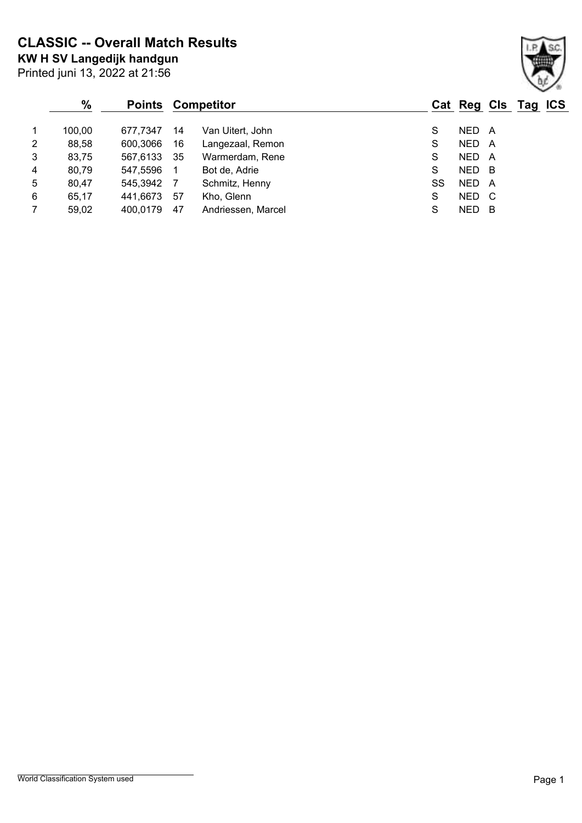**KW H SV Langedijk handgun CLASSIC -- Overall Match Results**

|                | %      |          |     | <b>Points Competitor</b> |    |            |     | Cat Reg Cls Tag ICS |  |
|----------------|--------|----------|-----|--------------------------|----|------------|-----|---------------------|--|
| $\overline{1}$ | 100,00 | 677.7347 | 14  | Van Uitert, John         | S  | NED A      |     |                     |  |
| 2              | 88,58  | 600,3066 | 16  | Langezaal, Remon         | S  | <b>NED</b> | A   |                     |  |
| $\mathbf{3}$   | 83,75  | 567,6133 | -35 | Warmerdam, Rene          | S  | NED        | A   |                     |  |
| 4              | 80,79  | 547,5596 |     | Bot de, Adrie            | S  | NED B      |     |                     |  |
| 5              | 80,47  | 545,3942 | -7  | Schmitz, Henny           | SS | NED        | A   |                     |  |
| 6              | 65,17  | 441,6673 | -57 | Kho, Glenn               | S  | <b>NED</b> | - C |                     |  |
| $\overline{7}$ | 59,02  | 400,0179 | 47  | Andriessen, Marcel       | S  | NED        | в   |                     |  |

Printed juni 13, 2022 at 21:56

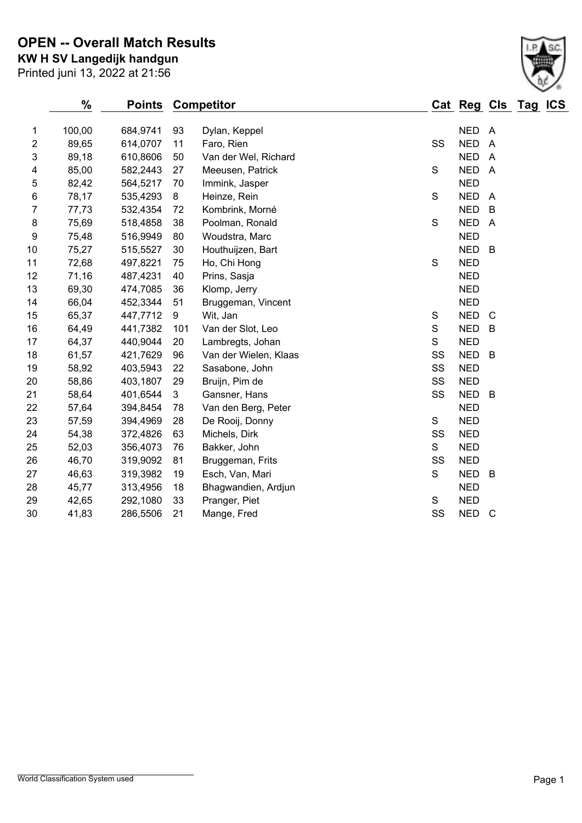Printed juni 13, 2022 at 21:56 **KW H SV Langedijk handgun OPEN -- Overall Match Results**

|                | $\%$   | <b>Points</b> |     | <b>Competitor</b>     |               | Cat Reg Cls Tag ICS |                |  |
|----------------|--------|---------------|-----|-----------------------|---------------|---------------------|----------------|--|
| 1              | 100,00 | 684,9741      | 93  | Dylan, Keppel         |               | <b>NED</b>          | A              |  |
| 2              | 89,65  | 614,0707      | 11  | Faro, Rien            | SS            | <b>NED</b>          | $\overline{A}$ |  |
| 3              | 89,18  | 610,8606      | 50  | Van der Wel, Richard  |               | <b>NED</b>          | $\overline{A}$ |  |
| 4              | 85,00  | 582,2443      | 27  | Meeusen, Patrick      | $\mathbf S$   | <b>NED</b>          | $\overline{A}$ |  |
| 5              | 82,42  | 564,5217      | 70  | Immink, Jasper        |               | <b>NED</b>          |                |  |
| 6              | 78,17  | 535,4293      | 8   | Heinze, Rein          | S             | <b>NED</b>          | $\overline{A}$ |  |
| $\overline{7}$ | 77,73  | 532,4354      | 72  | Kombrink, Morné       |               | <b>NED</b>          | B              |  |
| 8              | 75,69  | 518,4858      | 38  | Poolman, Ronald       | $\mathbf S$   | <b>NED</b>          | $\overline{A}$ |  |
| 9              | 75,48  | 516,9949      | 80  | Woudstra, Marc        |               | <b>NED</b>          |                |  |
| 10             | 75,27  | 515,5527      | 30  | Houthuijzen, Bart     |               | <b>NED</b>          | B              |  |
| 11             | 72,68  | 497,8221      | 75  | Ho, Chi Hong          | S             | <b>NED</b>          |                |  |
| 12             | 71,16  | 487,4231      | 40  | Prins, Sasja          |               | <b>NED</b>          |                |  |
| 13             | 69,30  | 474,7085      | 36  | Klomp, Jerry          |               | <b>NED</b>          |                |  |
| 14             | 66,04  | 452,3344      | 51  | Bruggeman, Vincent    |               | <b>NED</b>          |                |  |
| 15             | 65,37  | 447,7712      | 9   | Wit, Jan              | $\mathbb S$   | <b>NED</b>          | $\mathsf{C}$   |  |
| 16             | 64,49  | 441,7382      | 101 | Van der Slot, Leo     | ${\mathsf S}$ | <b>NED</b>          | B              |  |
| 17             | 64,37  | 440,9044      | 20  | Lambregts, Johan      | S             | <b>NED</b>          |                |  |
| 18             | 61,57  | 421,7629      | 96  | Van der Wielen, Klaas | SS            | <b>NED</b>          | $\overline{B}$ |  |
| 19             | 58,92  | 403,5943      | 22  | Sasabone, John        | SS            | <b>NED</b>          |                |  |
| 20             | 58,86  | 403,1807      | 29  | Bruijn, Pim de        | SS            | <b>NED</b>          |                |  |
| 21             | 58,64  | 401,6544      | 3   | Gansner, Hans         | SS            | <b>NED</b>          | B              |  |
| 22             | 57,64  | 394,8454      | 78  | Van den Berg, Peter   |               | <b>NED</b>          |                |  |
| 23             | 57,59  | 394,4969      | 28  | De Rooij, Donny       | S             | <b>NED</b>          |                |  |
| 24             | 54,38  | 372,4826      | 63  | Michels, Dirk         | SS            | <b>NED</b>          |                |  |
| 25             | 52,03  | 356,4073      | 76  | Bakker, John          | S             | <b>NED</b>          |                |  |
| 26             | 46,70  | 319,9092      | 81  | Bruggeman, Frits      | SS            | <b>NED</b>          |                |  |
| 27             | 46,63  | 319,3982      | 19  | Esch, Van, Mari       | S             | <b>NED</b>          | B              |  |
| 28             | 45,77  | 313,4956      | 18  | Bhagwandien, Ardjun   |               | <b>NED</b>          |                |  |
| 29             | 42,65  | 292,1080      | 33  | Pranger, Piet         | S             | <b>NED</b>          |                |  |
| 30             | 41,83  | 286,5506      | 21  | Mange, Fred           | SS            | <b>NED</b>          | C              |  |

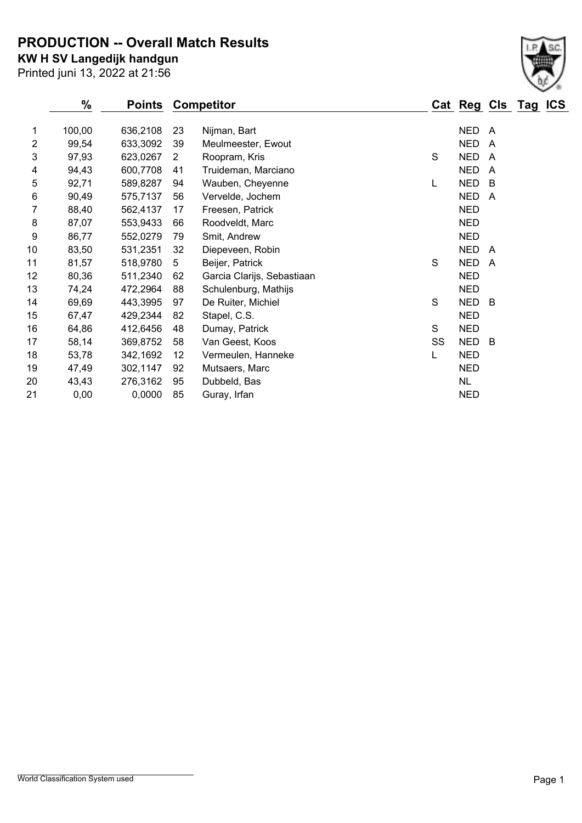**PRODUCTION -- Overall Match Results**

**KW H SV Langedijk handgun**

|                | %      | <b>Points</b> |    | <b>Competitor</b>          |    | Cat Reg Cls Tag |                         | <b>ICS</b> |
|----------------|--------|---------------|----|----------------------------|----|-----------------|-------------------------|------------|
| 1              | 100,00 | 636,2108      | 23 | Nijman, Bart               |    | <b>NED</b>      | A                       |            |
| $\overline{2}$ | 99,54  | 633,3092      | 39 | Meulmeester, Ewout         |    | <b>NED</b>      | A                       |            |
| 3              | 97,93  | 623,0267      | 2  | Roopram, Kris              | S  | <b>NED</b>      | A                       |            |
| 4              | 94,43  | 600,7708      | 41 | Truideman, Marciano        |    | <b>NED</b>      | $\overline{A}$          |            |
| 5              | 92,71  | 589,8287      | 94 | Wauben, Cheyenne           | L  | <b>NED</b>      | B                       |            |
| 6              | 90,49  | 575,7137      | 56 | Vervelde, Jochem           |    | <b>NED</b>      | A                       |            |
| 7              | 88,40  | 562,4137      | 17 | Freesen, Patrick           |    | <b>NED</b>      |                         |            |
| 8              | 87,07  | 553,9433      | 66 | Roodveldt, Marc            |    | <b>NED</b>      |                         |            |
| 9              | 86,77  | 552,0279      | 79 | Smit, Andrew               |    | <b>NED</b>      |                         |            |
| 10             | 83,50  | 531,2351      | 32 | Diepeveen, Robin           |    | <b>NED</b>      | A                       |            |
| 11             | 81,57  | 518,9780      | 5  | Beijer, Patrick            | S  | <b>NED</b>      | $\overline{\mathsf{A}}$ |            |
| 12             | 80,36  | 511,2340      | 62 | Garcia Clarijs, Sebastiaan |    | <b>NED</b>      |                         |            |
| 13             | 74,24  | 472,2964      | 88 | Schulenburg, Mathijs       |    | <b>NED</b>      |                         |            |
| 14             | 69,69  | 443,3995      | 97 | De Ruiter, Michiel         | S  | <b>NED</b>      | -B                      |            |
| 15             | 67,47  | 429,2344      | 82 | Stapel, C.S.               |    | <b>NED</b>      |                         |            |
| 16             | 64,86  | 412,6456      | 48 | Dumay, Patrick             | S  | <b>NED</b>      |                         |            |
| 17             | 58,14  | 369,8752      | 58 | Van Geest, Koos            | SS | <b>NED</b>      | -B                      |            |
| 18             | 53,78  | 342,1692      | 12 | Vermeulen, Hanneke         | L  | <b>NED</b>      |                         |            |
| 19             | 47,49  | 302,1147      | 92 | Mutsaers, Marc             |    | <b>NED</b>      |                         |            |
| 20             | 43,43  | 276,3162      | 95 | Dubbeld, Bas               |    | <b>NL</b>       |                         |            |
| 21             | 0,00   | 0,0000        | 85 | Guray, Irfan               |    | <b>NED</b>      |                         |            |



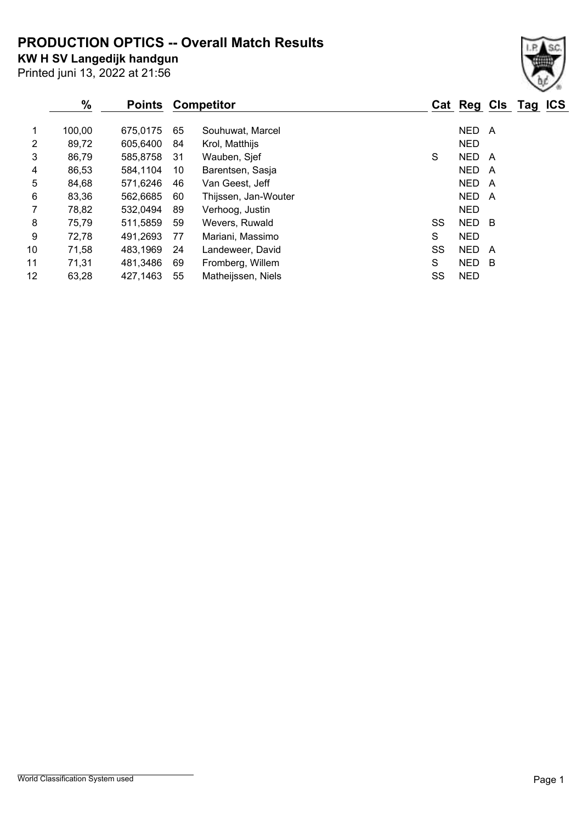**PRODUCTION OPTICS -- Overall Match Results**

**KW H SV Langedijk handgun**

Printed juni 13, 2022 at 21:56

### **% Points Competitor Cat Reg Cls Tag ICS** 1 100,00 675,0175 65 Souhuwat, Marcel 1 100,00 NED A 2 89,72 605,6400 84 Krol, Matthijs 1988 1999 1999 NED 3 86,79 585,8758 31 Wauben, Sjef Show States States States A 4 86,53 584,1104 10 Barentsen, Sasja NED A 5 84,68 571,6246 46 Van Geest, Jeff NED A 6 83,36 562,6685 60 Thijssen, Jan-Wouter NED A 7 78,82 532,0494 89 Verhoog, Justin NED 8 75,79 511,5859 59 Wevers, Ruwald SS NED B 9 72,78 491,2693 77 Mariani, Massimo S NED 10 71,58 483,1969 24 Landeweer, David SS NED A 11 71,31 481,3486 69 Fromberg, Willem S NED B

12 63,28 427,1463 55 Matheijssen, Niels SS NED

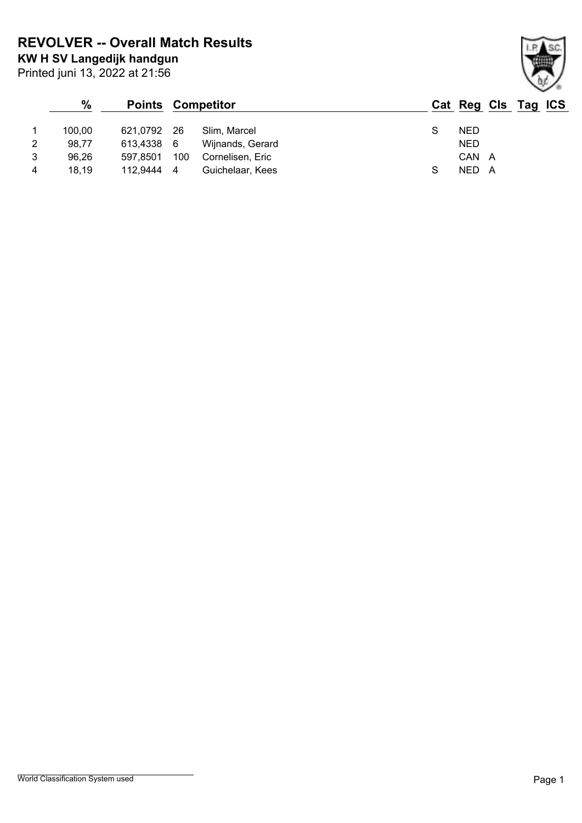**KW H SV Langedijk handgun REVOLVER -- Overall Match Results**

Printed juni 13, 2022 at 21:56

## **% Points Competitor Cat Reg Cls Tag ICS** 1 100,00 621,0792 26 Slim, Marcel S NED 2 98,77 613,4338 6 Wijnands, Gerard NED 3 96,26 597,8501 100 Cornelisen, Eric CAN A 4 18,19 112,9444 4 Guichelaar, Kees S NED A

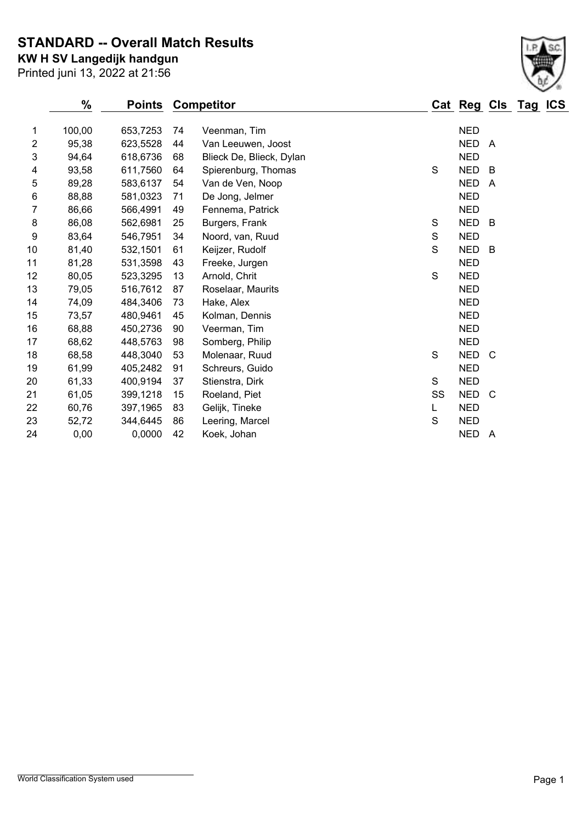**STANDARD -- Overall Match Results**

Printed juni 13, 2022 at 21:56 **KW H SV Langedijk handgun**

|                | $\%$   | <b>Points</b> |    | <b>Competitor</b>        |             | Cat Reg Cls Tag ICS |                |  |
|----------------|--------|---------------|----|--------------------------|-------------|---------------------|----------------|--|
| 1              | 100,00 | 653,7253      | 74 | Veenman, Tim             |             | <b>NED</b>          |                |  |
| $\overline{2}$ | 95,38  | 623,5528      | 44 | Van Leeuwen, Joost       |             | <b>NED</b>          | A              |  |
| 3              | 94,64  | 618,6736      | 68 | Blieck De, Blieck, Dylan |             | <b>NED</b>          |                |  |
| 4              | 93,58  | 611,7560      | 64 | Spierenburg, Thomas      | $\mathbf S$ | <b>NED</b>          | B              |  |
| 5              | 89,28  | 583,6137      | 54 | Van de Ven, Noop         |             | <b>NED</b>          | A              |  |
| 6              | 88,88  | 581,0323      | 71 | De Jong, Jelmer          |             | <b>NED</b>          |                |  |
| 7              | 86,66  | 566,4991      | 49 | Fennema, Patrick         |             | <b>NED</b>          |                |  |
| 8              | 86,08  | 562,6981      | 25 | Burgers, Frank           | S           | <b>NED</b>          | $\overline{B}$ |  |
| 9              | 83,64  | 546,7951      | 34 | Noord, van, Ruud         | S           | <b>NED</b>          |                |  |
| 10             | 81,40  | 532,1501      | 61 | Keijzer, Rudolf          | S           | <b>NED</b>          | -B             |  |
| 11             | 81,28  | 531,3598      | 43 | Freeke, Jurgen           |             | <b>NED</b>          |                |  |
| 12             | 80,05  | 523,3295      | 13 | Arnold, Chrit            | S           | <b>NED</b>          |                |  |
| 13             | 79,05  | 516,7612      | 87 | Roselaar, Maurits        |             | <b>NED</b>          |                |  |
| 14             | 74,09  | 484,3406      | 73 | Hake, Alex               |             | <b>NED</b>          |                |  |
| 15             | 73,57  | 480,9461      | 45 | Kolman, Dennis           |             | <b>NED</b>          |                |  |
| 16             | 68,88  | 450,2736      | 90 | Veerman, Tim             |             | <b>NED</b>          |                |  |
| 17             | 68,62  | 448,5763      | 98 | Somberg, Philip          |             | <b>NED</b>          |                |  |
| 18             | 68,58  | 448,3040      | 53 | Molenaar, Ruud           | S           | NED C               |                |  |
| 19             | 61,99  | 405,2482      | 91 | Schreurs, Guido          |             | <b>NED</b>          |                |  |
| 20             | 61,33  | 400,9194      | 37 | Stienstra, Dirk          | S           | <b>NED</b>          |                |  |
| 21             | 61,05  | 399,1218      | 15 | Roeland, Piet            | SS          | <b>NED</b>          | C              |  |
| 22             | 60,76  | 397,1965      | 83 | Gelijk, Tineke           | L           | <b>NED</b>          |                |  |
| 23             | 52,72  | 344,6445      | 86 | Leering, Marcel          | S           | <b>NED</b>          |                |  |
| 24             | 0,00   | 0,0000        | 42 | Koek, Johan              |             | <b>NED</b>          | - A            |  |
|                |        |               |    |                          |             |                     |                |  |